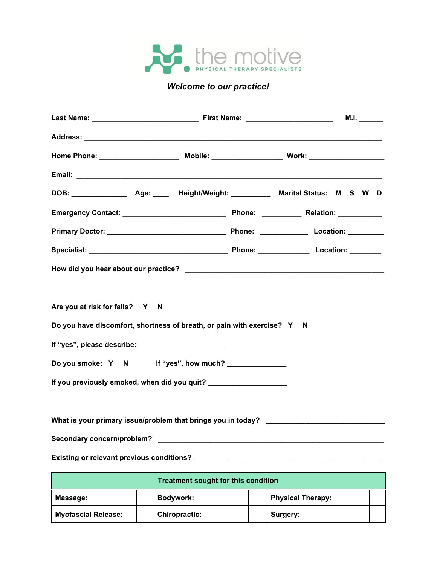

## *Welcome to our practice!*

|                                                                    |                                                                         | M.I. $\_\_$                                                  |  |  |
|--------------------------------------------------------------------|-------------------------------------------------------------------------|--------------------------------------------------------------|--|--|
|                                                                    |                                                                         |                                                              |  |  |
|                                                                    |                                                                         |                                                              |  |  |
|                                                                    |                                                                         |                                                              |  |  |
|                                                                    |                                                                         |                                                              |  |  |
|                                                                    |                                                                         |                                                              |  |  |
|                                                                    |                                                                         |                                                              |  |  |
|                                                                    |                                                                         |                                                              |  |  |
|                                                                    |                                                                         |                                                              |  |  |
|                                                                    |                                                                         |                                                              |  |  |
| Are you at risk for falls? Y N                                     |                                                                         |                                                              |  |  |
|                                                                    | Do you have discomfort, shortness of breath, or pain with exercise? Y N |                                                              |  |  |
|                                                                    |                                                                         |                                                              |  |  |
|                                                                    | Do you smoke: Y N If "yes", how much?                                   |                                                              |  |  |
| If you previously smoked, when did you quit? _____________________ |                                                                         |                                                              |  |  |
|                                                                    |                                                                         |                                                              |  |  |
|                                                                    |                                                                         | What is your primary issue/problem that brings you in today? |  |  |
| Secondary concern/problem?                                         |                                                                         |                                                              |  |  |
|                                                                    | Existing or relevant previous conditions?                               |                                                              |  |  |
|                                                                    | <b>Treatment sought for this condition</b>                              |                                                              |  |  |
|                                                                    |                                                                         |                                                              |  |  |

| Massage:                   | Bodywork:            | <b>Physical Therapy:</b> |  |
|----------------------------|----------------------|--------------------------|--|
| <b>Myofascial Release:</b> | <b>Chiropractic:</b> | Surgery:                 |  |